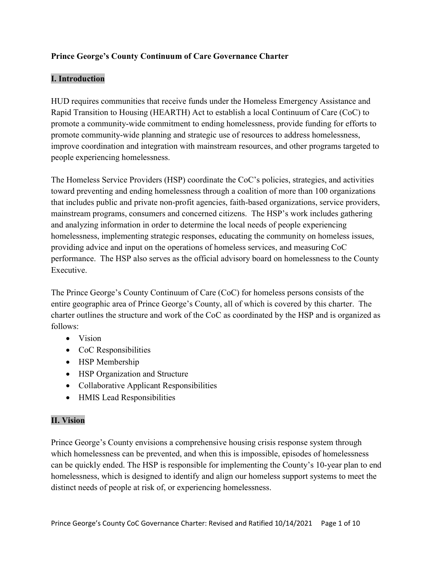### Prince George's County Continuum of Care Governance Charter

### I. Introduction

HUD requires communities that receive funds under the Homeless Emergency Assistance and Rapid Transition to Housing (HEARTH) Act to establish a local Continuum of Care (CoC) to promote a community-wide commitment to ending homelessness, provide funding for efforts to promote community-wide planning and strategic use of resources to address homelessness, improve coordination and integration with mainstream resources, and other programs targeted to people experiencing homelessness.

The Homeless Service Providers (HSP) coordinate the CoC's policies, strategies, and activities toward preventing and ending homelessness through a coalition of more than 100 organizations that includes public and private non-profit agencies, faith-based organizations, service providers, mainstream programs, consumers and concerned citizens. The HSP's work includes gathering and analyzing information in order to determine the local needs of people experiencing homelessness, implementing strategic responses, educating the community on homeless issues, providing advice and input on the operations of homeless services, and measuring CoC performance. The HSP also serves as the official advisory board on homelessness to the County Executive.

The Prince George's County Continuum of Care (CoC) for homeless persons consists of the entire geographic area of Prince George's County, all of which is covered by this charter. The charter outlines the structure and work of the CoC as coordinated by the HSP and is organized as follows:

- Vision
- CoC Responsibilities
- HSP Membership
- HSP Organization and Structure
- Collaborative Applicant Responsibilities
- HMIS Lead Responsibilities

## II. Vision

Prince George's County envisions a comprehensive housing crisis response system through which homelessness can be prevented, and when this is impossible, episodes of homelessness can be quickly ended. The HSP is responsible for implementing the County's 10-year plan to end homelessness, which is designed to identify and align our homeless support systems to meet the distinct needs of people at risk of, or experiencing homelessness.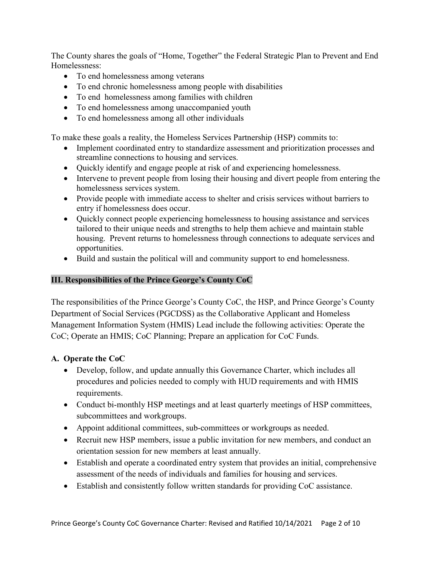The County shares the goals of "Home, Together" the Federal Strategic Plan to Prevent and End Homelessness:

- To end homelessness among veterans
- To end chronic homelessness among people with disabilities
- To end homelessness among families with children
- To end homelessness among unaccompanied youth
- To end homelessness among all other individuals

To make these goals a reality, the Homeless Services Partnership (HSP) commits to:

- Implement coordinated entry to standardize assessment and prioritization processes and streamline connections to housing and services.
- Quickly identify and engage people at risk of and experiencing homelessness.
- Intervene to prevent people from losing their housing and divert people from entering the homelessness services system.
- Provide people with immediate access to shelter and crisis services without barriers to entry if homelessness does occur.
- Quickly connect people experiencing homelessness to housing assistance and services tailored to their unique needs and strengths to help them achieve and maintain stable housing. Prevent returns to homelessness through connections to adequate services and opportunities.
- Build and sustain the political will and community support to end homelessness.

# III. Responsibilities of the Prince George's County CoC

The responsibilities of the Prince George's County CoC, the HSP, and Prince George's County Department of Social Services (PGCDSS) as the Collaborative Applicant and Homeless Management Information System (HMIS) Lead include the following activities: Operate the CoC; Operate an HMIS; CoC Planning; Prepare an application for CoC Funds.

## A. Operate the CoC

- Develop, follow, and update annually this Governance Charter, which includes all procedures and policies needed to comply with HUD requirements and with HMIS requirements.
- Conduct bi-monthly HSP meetings and at least quarterly meetings of HSP committees, subcommittees and workgroups.
- Appoint additional committees, sub-committees or workgroups as needed.
- Recruit new HSP members, issue a public invitation for new members, and conduct an orientation session for new members at least annually.
- Establish and operate a coordinated entry system that provides an initial, comprehensive assessment of the needs of individuals and families for housing and services.
- Establish and consistently follow written standards for providing CoC assistance.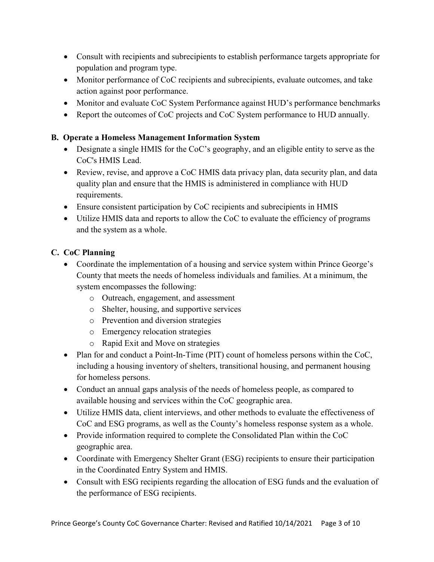- Consult with recipients and subrecipients to establish performance targets appropriate for population and program type.
- Monitor performance of CoC recipients and subrecipients, evaluate outcomes, and take action against poor performance.
- Monitor and evaluate CoC System Performance against HUD's performance benchmarks
- Report the outcomes of CoC projects and CoC System performance to HUD annually.

## B. Operate a Homeless Management Information System

- Designate a single HMIS for the CoC's geography, and an eligible entity to serve as the CoC's HMIS Lead.
- Review, revise, and approve a CoC HMIS data privacy plan, data security plan, and data quality plan and ensure that the HMIS is administered in compliance with HUD requirements.
- Ensure consistent participation by CoC recipients and subrecipients in HMIS
- Utilize HMIS data and reports to allow the CoC to evaluate the efficiency of programs and the system as a whole.

## C. CoC Planning

- Coordinate the implementation of a housing and service system within Prince George's County that meets the needs of homeless individuals and families. At a minimum, the system encompasses the following:
	- o Outreach, engagement, and assessment
	- o Shelter, housing, and supportive services
	- o Prevention and diversion strategies
	- o Emergency relocation strategies
	- o Rapid Exit and Move on strategies
- Plan for and conduct a Point-In-Time (PIT) count of homeless persons within the CoC, including a housing inventory of shelters, transitional housing, and permanent housing for homeless persons.
- Conduct an annual gaps analysis of the needs of homeless people, as compared to available housing and services within the CoC geographic area.
- Utilize HMIS data, client interviews, and other methods to evaluate the effectiveness of CoC and ESG programs, as well as the County's homeless response system as a whole.
- Provide information required to complete the Consolidated Plan within the CoC geographic area.
- Coordinate with Emergency Shelter Grant (ESG) recipients to ensure their participation in the Coordinated Entry System and HMIS.
- Consult with ESG recipients regarding the allocation of ESG funds and the evaluation of the performance of ESG recipients.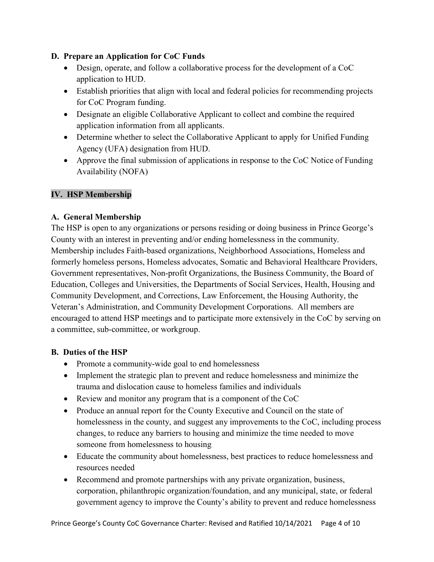### D. Prepare an Application for CoC Funds

- Design, operate, and follow a collaborative process for the development of a CoC application to HUD.
- Establish priorities that align with local and federal policies for recommending projects for CoC Program funding.
- Designate an eligible Collaborative Applicant to collect and combine the required application information from all applicants.
- Determine whether to select the Collaborative Applicant to apply for Unified Funding Agency (UFA) designation from HUD.
- Approve the final submission of applications in response to the CoC Notice of Funding Availability (NOFA)

## IV. HSP Membership

## A. General Membership

The HSP is open to any organizations or persons residing or doing business in Prince George's County with an interest in preventing and/or ending homelessness in the community. Membership includes Faith-based organizations, Neighborhood Associations, Homeless and formerly homeless persons, Homeless advocates, Somatic and Behavioral Healthcare Providers, Government representatives, Non-profit Organizations, the Business Community, the Board of Education, Colleges and Universities, the Departments of Social Services, Health, Housing and Community Development, and Corrections, Law Enforcement, the Housing Authority, the Veteran's Administration, and Community Development Corporations. All members are encouraged to attend HSP meetings and to participate more extensively in the CoC by serving on a committee, sub-committee, or workgroup.

### B. Duties of the HSP

- Promote a community-wide goal to end homelessness
- Implement the strategic plan to prevent and reduce homelessness and minimize the trauma and dislocation cause to homeless families and individuals
- Review and monitor any program that is a component of the CoC
- Produce an annual report for the County Executive and Council on the state of homelessness in the county, and suggest any improvements to the CoC, including process changes, to reduce any barriers to housing and minimize the time needed to move someone from homelessness to housing
- Educate the community about homelessness, best practices to reduce homelessness and resources needed
- Recommend and promote partnerships with any private organization, business, corporation, philanthropic organization/foundation, and any municipal, state, or federal government agency to improve the County's ability to prevent and reduce homelessness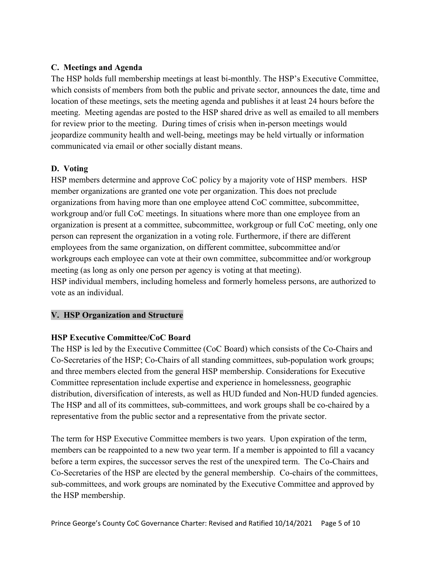### C. Meetings and Agenda

The HSP holds full membership meetings at least bi-monthly. The HSP's Executive Committee, which consists of members from both the public and private sector, announces the date, time and location of these meetings, sets the meeting agenda and publishes it at least 24 hours before the meeting. Meeting agendas are posted to the HSP shared drive as well as emailed to all members for review prior to the meeting. During times of crisis when in-person meetings would jeopardize community health and well-being, meetings may be held virtually or information communicated via email or other socially distant means.

### D. Voting

HSP members determine and approve CoC policy by a majority vote of HSP members. HSP member organizations are granted one vote per organization. This does not preclude organizations from having more than one employee attend CoC committee, subcommittee, workgroup and/or full CoC meetings. In situations where more than one employee from an organization is present at a committee, subcommittee, workgroup or full CoC meeting, only one person can represent the organization in a voting role. Furthermore, if there are different employees from the same organization, on different committee, subcommittee and/or workgroups each employee can vote at their own committee, subcommittee and/or workgroup meeting (as long as only one person per agency is voting at that meeting). HSP individual members, including homeless and formerly homeless persons, are authorized to vote as an individual.

#### V. HSP Organization and Structure

#### HSP Executive Committee/CoC Board

The HSP is led by the Executive Committee (CoC Board) which consists of the Co-Chairs and Co-Secretaries of the HSP; Co-Chairs of all standing committees, sub-population work groups; and three members elected from the general HSP membership. Considerations for Executive Committee representation include expertise and experience in homelessness, geographic distribution, diversification of interests, as well as HUD funded and Non-HUD funded agencies. The HSP and all of its committees, sub-committees, and work groups shall be co-chaired by a representative from the public sector and a representative from the private sector.

The term for HSP Executive Committee members is two years. Upon expiration of the term, members can be reappointed to a new two year term. If a member is appointed to fill a vacancy before a term expires, the successor serves the rest of the unexpired term. The Co-Chairs and Co-Secretaries of the HSP are elected by the general membership. Co-chairs of the committees, sub-committees, and work groups are nominated by the Executive Committee and approved by the HSP membership.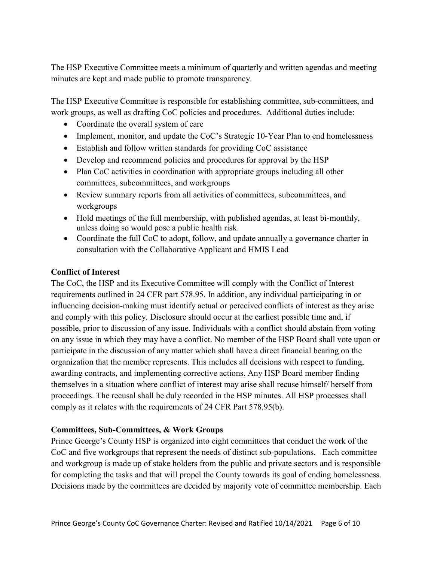The HSP Executive Committee meets a minimum of quarterly and written agendas and meeting minutes are kept and made public to promote transparency.

The HSP Executive Committee is responsible for establishing committee, sub-committees, and work groups, as well as drafting CoC policies and procedures. Additional duties include:

- Coordinate the overall system of care
- Implement, monitor, and update the CoC's Strategic 10-Year Plan to end homelessness
- Establish and follow written standards for providing CoC assistance
- Develop and recommend policies and procedures for approval by the HSP
- Plan CoC activities in coordination with appropriate groups including all other committees, subcommittees, and workgroups
- Review summary reports from all activities of committees, subcommittees, and workgroups
- Hold meetings of the full membership, with published agendas, at least bi-monthly, unless doing so would pose a public health risk.
- Coordinate the full CoC to adopt, follow, and update annually a governance charter in consultation with the Collaborative Applicant and HMIS Lead

### Conflict of Interest

The CoC, the HSP and its Executive Committee will comply with the Conflict of Interest requirements outlined in 24 CFR part 578.95. In addition, any individual participating in or influencing decision-making must identify actual or perceived conflicts of interest as they arise and comply with this policy. Disclosure should occur at the earliest possible time and, if possible, prior to discussion of any issue. Individuals with a conflict should abstain from voting on any issue in which they may have a conflict. No member of the HSP Board shall vote upon or participate in the discussion of any matter which shall have a direct financial bearing on the organization that the member represents. This includes all decisions with respect to funding, awarding contracts, and implementing corrective actions. Any HSP Board member finding themselves in a situation where conflict of interest may arise shall recuse himself/ herself from proceedings. The recusal shall be duly recorded in the HSP minutes. All HSP processes shall comply as it relates with the requirements of 24 CFR Part 578.95(b).

### Committees, Sub-Committees, & Work Groups

Prince George's County HSP is organized into eight committees that conduct the work of the CoC and five workgroups that represent the needs of distinct sub-populations. Each committee and workgroup is made up of stake holders from the public and private sectors and is responsible for completing the tasks and that will propel the County towards its goal of ending homelessness. Decisions made by the committees are decided by majority vote of committee membership. Each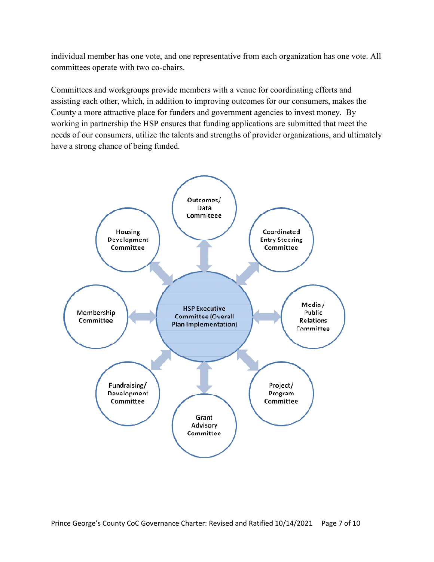individual member has one vote, and one representative from each organization has one vote. All committees operate with two co-chairs.

Committees and workgroups provide members with a venue for coordinating efforts and assisting each other, which, in addition to improving outcomes for our consumers, makes the County a more attractive place for funders and government agencies to invest money. By working in partnership the HSP ensures that funding applications are submitted that meet the needs of our consumers, utilize the talents and strengths of provider organizations, and ultimately have a strong chance of being funded. mittees and workgroups provide members with a venue for coordinating effing each other, which, in addition to improving outcomes for our consumer ty a more attractive place for funders and government agencies to invest m i

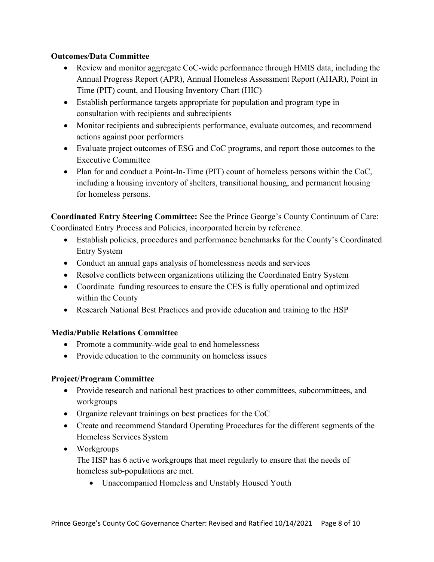### Outcomes/Data Committee

- Review and monitor aggregate CoC-wide performance through HMIS data, including the Annual Progress Report (APR), Annual Homeless Assessment Report (AHAR), Point in Time (PIT) count, and Housing Inventory Chart (HIC)
- Establish performance targets appropriate for population and program type in consultation with recipients and subrecipients
- Monitor recipients and subrecipients performance, evaluate outcomes, and recommend actions against poor performers
- Evaluate project outcomes of ESG and CoC programs, and report those outcomes to the Executive Committee
- Plan for and conduct a Point-In-Time (PIT) count of homeless persons within the CoC, including a housing inventory of shelters, transitional housing, and permanent housing for homeless persons.

Coordinated Entry Steering Committee: See the Prince George's County Continuum of Care: Coordinated Entry Process and Policies, incorporated herein by reference.

- Establish policies, procedures and performance benchmarks for the County's Coordinated Entry System
- Conduct an annual gaps analysis of homelessness needs and services
- Resolve conflicts between organizations utilizing the Coordinated Entry System
- Coordinate funding resources to ensure the CES is fully operational and optimized within the County
- Research National Best Practices and provide education and training to the HSP

## Media/Public Relations Committee

- Promote a community-wide goal to end homelessness
- Provide education to the community on homeless issues

## Project/Program Committee

- Provide research and national best practices to other committees, subcommittees, and workgroups
- Organize relevant trainings on best practices for the CoC
- Create and recommend Standard Operating Procedures for the different segments of the Homeless Services System
- Workgroups

The HSP has 6 active workgroups that meet regularly to ensure that the needs of homeless sub-populations are met.

Unaccompanied Homeless and Unstably Housed Youth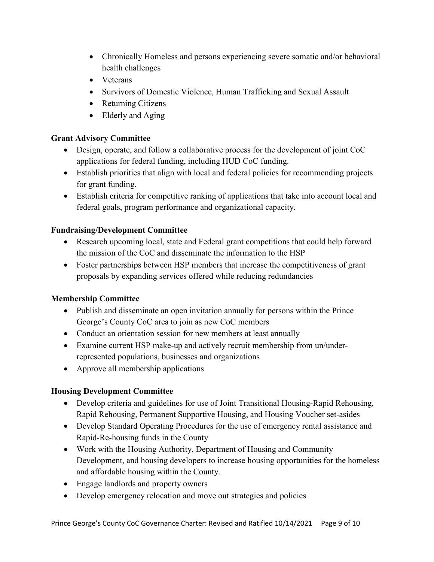- Chronically Homeless and persons experiencing severe somatic and/or behavioral health challenges
- Veterans
- Survivors of Domestic Violence, Human Trafficking and Sexual Assault
- Returning Citizens
- Elderly and Aging

# Grant Advisory Committee

- Design, operate, and follow a collaborative process for the development of joint CoC applications for federal funding, including HUD CoC funding.
- Establish priorities that align with local and federal policies for recommending projects for grant funding.
- Establish criteria for competitive ranking of applications that take into account local and federal goals, program performance and organizational capacity.

# Fundraising/Development Committee

- Research upcoming local, state and Federal grant competitions that could help forward the mission of the CoC and disseminate the information to the HSP
- Foster partnerships between HSP members that increase the competitiveness of grant proposals by expanding services offered while reducing redundancies

## Membership Committee

- Publish and disseminate an open invitation annually for persons within the Prince George's County CoC area to join as new CoC members
- Conduct an orientation session for new members at least annually
- Examine current HSP make-up and actively recruit membership from un/underrepresented populations, businesses and organizations
- Approve all membership applications

## Housing Development Committee

- Develop criteria and guidelines for use of Joint Transitional Housing-Rapid Rehousing, Rapid Rehousing, Permanent Supportive Housing, and Housing Voucher set-asides
- Develop Standard Operating Procedures for the use of emergency rental assistance and Rapid-Re-housing funds in the County
- Work with the Housing Authority, Department of Housing and Community Development, and housing developers to increase housing opportunities for the homeless and affordable housing within the County.
- Engage landlords and property owners
- Develop emergency relocation and move out strategies and policies